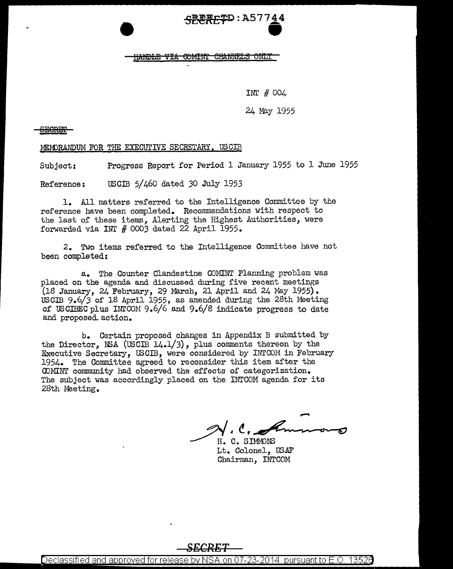## $-$ <del>SECRET</del>D : A57744

INr # 004

24 May 1955

**SEGRB±'** 

MEMORANDUM FOR THE EXECUTIVE SECRETARY, USCIB

Subject: Progress Report for Period 1 January 1955 to 1 June 1955

Reference: users 5/460 dated *30* July 1953

1. All matters referred to the Intelligence Committee by the reference have been completed. Recommendations with respect to the last of these items, Alerting the Highest Authorities, were forwarded via INT # *0003* dated 22 April 1955.

2. Two items referred to the Intelligence Committee have not been completed:

a. The Counter Clandestine COMINT Planning problem was placed on the agenda and discussed during five recent meetings  $(18$  January, 24 February, 29 March, 21 April and 24 May 1955). USCIB 9.6/J of 18 April 1955, as amended during the 28th Meeting of USCIBEC plus INI'COM 9.6/6 and 9.6/8 indicate progress to date and proposed. action.

b. Certain proposed changes in Appendix B submitted by the Director, NSA (USCIB  $14.1/3$ ), plus comments thereon by the Executive Secretary, USCIB, were considered by INTCOM in February 1954. The Committee agreed to reconsider this item after the OJMINT community had observed the effects of categorization. The subject was accordingly placed on the INTCOM agenda for its 28th Meeting.

 $\mathscr{D}'$ . $\mathcal{C}$ ,

H. C. SIMMONS Lt. Colonel, US.AF Chairman, INTCOM

## *SECRET*

<u>Declassified and approved for release by NSA on 07-23-2014  $\,$  pursuant to E.O. 13526  $\,$ </u>